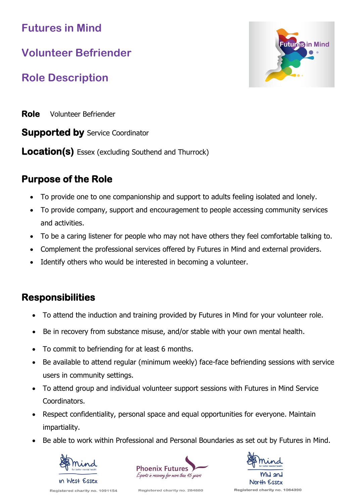**Futures in Mind**

# **Volunteer Befriender**

# **Role Description**

Futures in Mind

**Role** Volunteer Befriender

**Supported by** Service Coordinator

**Location(s)** Essex (excluding Southend and Thurrock)

### **Purpose of the Role**

- To provide one to one companionship and support to adults feeling isolated and lonely.
- To provide company, support and encouragement to people accessing community services and activities.
- To be a caring listener for people who may not have others they feel comfortable talking to.
- Complement the professional services offered by Futures in Mind and external providers.
- Identify others who would be interested in becoming a volunteer.

## **Responsibilities**

- To attend the induction and training provided by Futures in Mind for your volunteer role.
- Be in recovery from substance misuse, and/or stable with your own mental health.
- To commit to befriending for at least 6 months.
- Be available to attend regular (minimum weekly) face-face befriending sessions with service users in community settings.
- To attend group and individual volunteer support sessions with Futures in Mind Service Coordinators.
- Respect confidentiality, personal space and equal opportunities for everyone. Maintain impartiality.
- Be able to work within Professional and Personal Boundaries as set out by Futures in Mind.







Registered charity no. 284880